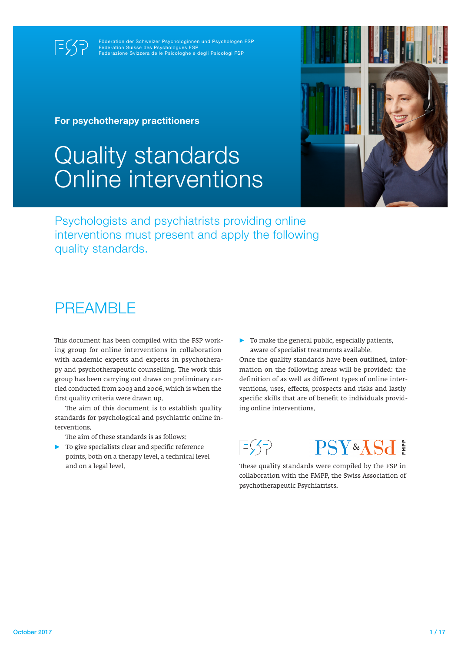$E(\xi)$ 

Föderation der Schweizer Psychologinnen und Psychologen FSP Fédération Suisse des Psychologues FSP Federazione Svizzera delle Psicologhe e degli Psicologi FSP

For psychotherapy practitioners

# Quality standards Online interventions



Psychologists and psychiatrists providing online interventions must present and apply the following quality standards.

### **PREAMBLE**

This document has been compiled with the FSP working group for online interventions in collaboration with academic experts and experts in psychotherapy and psychotherapeutic counselling. The work this group has been carrying out draws on preliminary carried conducted from 2003 and 2006, which is when the first quality criteria were drawn up.

The aim of this document is to establish quality standards for psychological and psychiatric online interventions.

The aim of these standards is as follows:

► To give specialists clear and specific reference points, both on a therapy level, a technical level and on a legal level.

► To make the general public, especially patients, aware of specialist treatments available.

Once the quality standards have been outlined, information on the following areas will be provided: the definition of as well as different types of online interventions, uses, effects, prospects and risks and lastly specific skills that are of benefit to individuals providing online interventions.



These quality standards were compiled by the FSP in collaboration with the FMPP, the Swiss Association of psychotherapeutic Psychiatrists.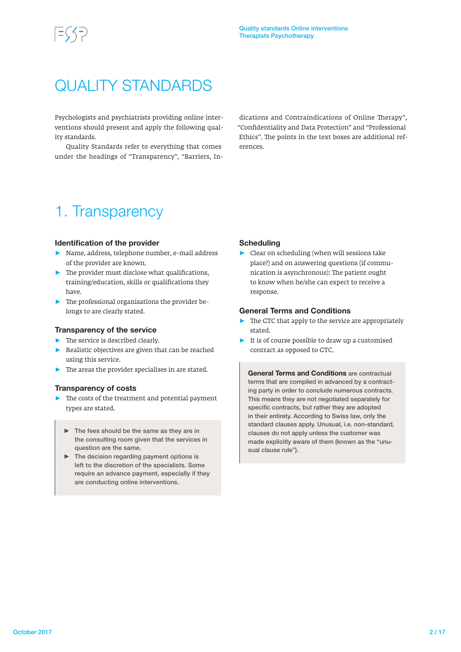### QUALITY STANDARDS

Psychologists and psychiatrists providing online interventions should present and apply the following quality standards.

Quality Standards refer to everything that comes under the headings of "Transparency", "Barriers, In-

dications and Contraindications of Online Therapy", "Confidentiality and Data Protection" and "Professional Ethics". The points in the text boxes are additional references.

### 1. Transparency

#### Identification of the provider

- ► Name, address, telephone number, e-mail address of the provider are known.
- $\blacktriangleright$  The provider must disclose what qualifications, training/education, skills or qualifications they have.
- $\blacktriangleright$  The professional organisations the provider belongs to are clearly stated.

#### Transparency of the service

- ► The service is described clearly.
- Realistic objectives are given that can be reached using this service.
- $\blacktriangleright$  The areas the provider specialises in are stated.

#### Transparency of costs

- ► The costs of the treatment and potential payment types are stated.
	- ► The fees should be the same as they are in the consulting room given that the services in question are the same.
	- $\blacktriangleright$  The decision regarding payment options is left to the discretion of the specialists. Some require an advance payment, especially if they are conducting online interventions.

#### **Scheduling**

► Clear on scheduling (when will sessions take place?) and on answering questions (if communication is asynchronous): The patient ought to know when he/she can expect to receive a response.

#### General Terms and Conditions

- The GTC that apply to the service are appropriately stated.
- $\blacktriangleright$  It is of course possible to draw up a customised contract as opposed to GTC.

General Terms and Conditions are contractual terms that are compiled in advanced by a contracting party in order to conclude numerous contracts. This means they are not negotiated separately for specific contracts, but rather they are adopted in their entirety. According to Swiss law, only the standard clauses apply. Unusual, i.e. non-standard, clauses do not apply unless the customer was made explicitly aware of them (known as the "unusual clause rule").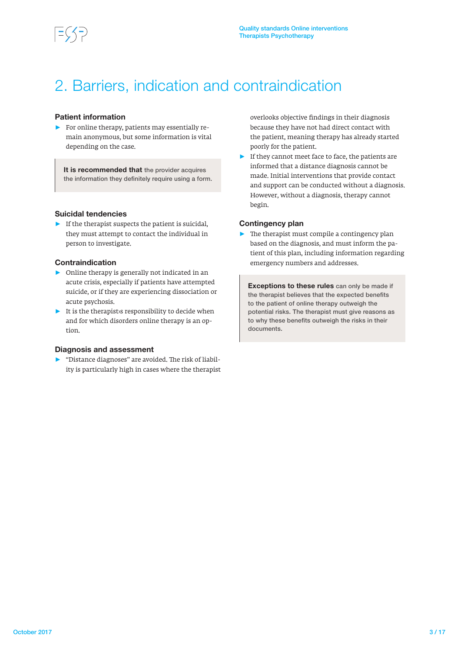

### 2. Barriers, indication and contraindication

### Patient information

 $\blacktriangleright$  For online therapy, patients may essentially remain anonymous, but some information is vital depending on the case.

It is recommended that the provider acquires the information they definitely require using a form.

#### Suicidal tendencies

► If the therapist suspects the patient is suicidal, they must attempt to contact the individual in person to investigate.

#### Contraindication

- ► Online therapy is generally not indicated in an acute crisis, especially if patients have attempted suicide, or if they are experiencing dissociation or acute psychosis.
- $\blacktriangleright$  It is the therapist is responsibility to decide when and for which disorders online therapy is an option.

#### Diagnosis and assessment

► "Distance diagnoses" are avoided. The risk of liability is particularly high in cases where the therapist overlooks objective findings in their diagnosis because they have not had direct contact with the patient, meaning therapy has already started poorly for the patient.

► If they cannot meet face to face, the patients are informed that a distance diagnosis cannot be made. Initial interventions that provide contact and support can be conducted without a diagnosis. However, without a diagnosis, therapy cannot begin.

#### Contingency plan

The therapist must compile a contingency plan based on the diagnosis, and must inform the patient of this plan, including information regarding emergency numbers and addresses.

**Exceptions to these rules** can only be made if the therapist believes that the expected benefits to the patient of online therapy outweigh the potential risks. The therapist must give reasons as to why these benefits outweigh the risks in their documents.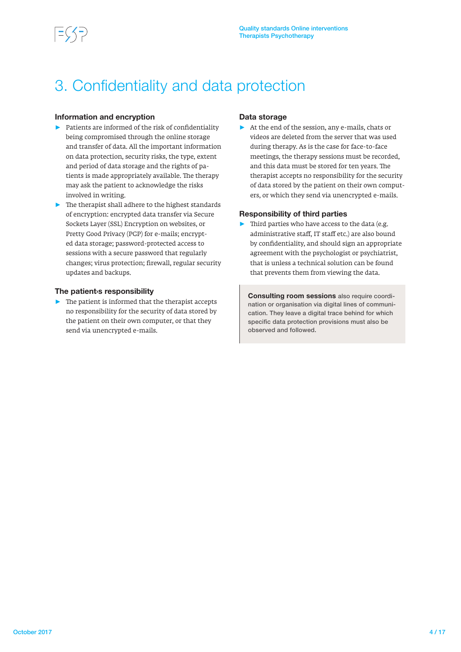### 3. Confidentiality and data protection

### Information and encryption

- ► Patients are informed of the risk of confidentiality being compromised through the online storage and transfer of data. All the important information on data protection, security risks, the type, extent and period of data storage and the rights of patients is made appropriately available. The therapy may ask the patient to acknowledge the risks involved in writing.
- ► The therapist shall adhere to the highest standards of encryption: encrypted data transfer via Secure Sockets Layer (SSL) Encryption on websites, or Pretty Good Privacy (PGP) for e-mails; encrypted data storage; password-protected access to sessions with a secure password that regularly changes; virus protection; firewall, regular security updates and backups.

#### The patient›s responsibility

 $\blacktriangleright$  The patient is informed that the therapist accepts no responsibility for the security of data stored by the patient on their own computer, or that they send via unencrypted e-mails.

#### Data storage

► At the end of the session, any e-mails, chats or videos are deleted from the server that was used during therapy. As is the case for face-to-face meetings, the therapy sessions must be recorded, and this data must be stored for ten years. The therapist accepts no responsibility for the security of data stored by the patient on their own computers, or which they send via unencrypted e-mails.

### Responsibility of third parties

 $\blacktriangleright$  Third parties who have access to the data (e.g. administrative staff, IT staff etc.) are also bound by confidentiality, and should sign an appropriate agreement with the psychologist or psychiatrist, that is unless a technical solution can be found that prevents them from viewing the data.

Consulting room sessions also require coordination or organisation via digital lines of communication. They leave a digital trace behind for which specific data protection provisions must also be observed and followed.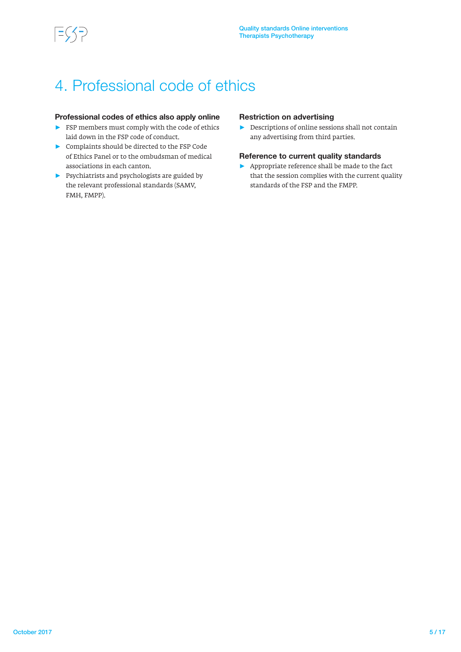### 4. Professional code of ethics

### Professional codes of ethics also apply online

- $\blacktriangleright$  FSP members must comply with the code of ethics laid down in the FSP code of conduct.
- ► Complaints should be directed to the FSP Code of Ethics Panel or to the ombudsman of medical associations in each canton.
- $\blacktriangleright$  Psychiatrists and psychologists are guided by the relevant professional standards (SAMV, FMH, FMPP).

### Restriction on advertising

► Descriptions of online sessions shall not contain any advertising from third parties.

### Reference to current quality standards

► Appropriate reference shall be made to the fact that the session complies with the current quality standards of the FSP and the FMPP.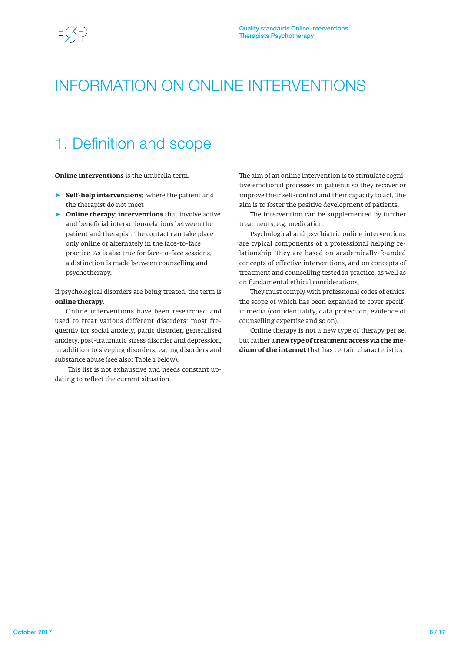### INFORMATION ON ONLINE INTERVENTIONS

### 1. Definition and scope

**Online interventions** is the umbrella term.

- ► **Self-help interventions:** where the patient and the therapist do not meet
- ► **Online therapy: interventions** that involve active and beneficial interaction/relations between the patient and therapist. The contact can take place only online or alternately in the face-to-face practice. As is also true for face-to-face sessions, a distinction is made between counselling and psychotherapy.

If psychological disorders are being treated, the term is **online therapy**.

Online interventions have been researched and used to treat various different disorders: most frequently for social anxiety, panic disorder, generalised anxiety, post-traumatic stress disorder and depression, in addition to sleeping disorders, eating disorders and substance abuse (see also: Table 1 below).

 This list is not exhaustive and needs constant updating to reflect the current situation.

The aim of an online intervention is to stimulate cognitive emotional processes in patients so they recover or improve their self-control and their capacity to act. The aim is to foster the positive development of patients.

The intervention can be supplemented by further treatments, e.g. medication.

Psychological and psychiatric online interventions are typical components of a professional helping relationship. They are based on academically-founded concepts of effective interventions, and on concepts of treatment and counselling tested in practice, as well as on fundamental ethical considerations.

They must comply with professional codes of ethics, the scope of which has been expanded to cover specific media (confidentiality, data protection, evidence of counselling expertise and so on).

Online therapy is not a new type of therapy per se, but rather a **new type of treatment access via the medium of the internet** that has certain characteristics.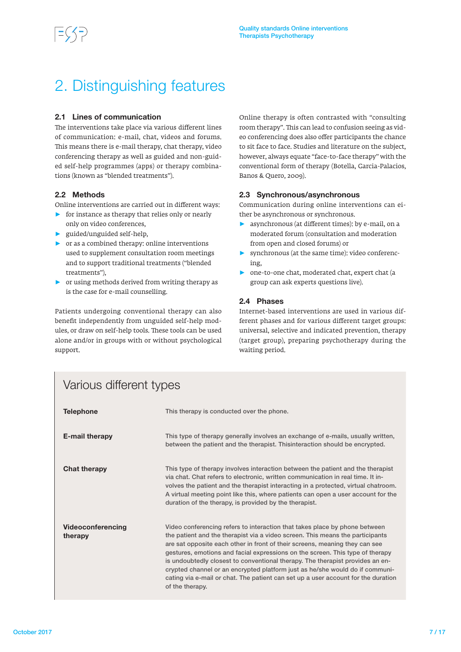### 2. Distinguishing features

### 2.1 Lines of communication

The interventions take place via various different lines of communication: e-mail, chat, videos and forums. This means there is e-mail therapy, chat therapy, video conferencing therapy as well as guided and non-guided self-help programmes (apps) or therapy combinations (known as "blended treatments").

### 2.2 Mathods

Online interventions are carried out in different ways:

- $\triangleright$  for instance as therapy that relies only or nearly only on video conferences,
- ► guided/unguided self-help,
- $\triangleright$  or as a combined therapy: online interventions used to supplement consultation room meetings and to support traditional treatments ("blended treatments"),
- $\triangleright$  or using methods derived from writing therapy as is the case for e-mail counselling.

Patients undergoing conventional therapy can also benefit independently from unguided self-help modules, or draw on self-help tools. These tools can be used alone and/or in groups with or without psychological support.

Online therapy is often contrasted with "consulting room therapy". This can lead to confusion seeing as video conferencing does also offer participants the chance to sit face to face. Studies and literature on the subject, however, always equate "face-to-face therapy" with the conventional form of therapy (Botella, Garcia-Palacios, Banos & Quero, 2009).

### 2.3 Synchronous/asynchronous

Communication during online interventions can either be asynchronous or synchronous.

- ► asynchronous (at different times): by e-mail, on a moderated forum (consultation and moderation from open and closed forums) or
- ► synchronous (at the same time): video conferencing,
- ► one-to-one chat, moderated chat, expert chat (a group can ask experts questions live).

### 2.4 Phases

Internet-based interventions are used in various different phases and for various different target groups: universal, selective and indicated prevention, therapy (target group), preparing psychotherapy during the waiting period.

| <u>VUITUU UITUTU UITU LYPUU</u>     |                                                                                                                                                                                                                                                                                                                                                                                                                                                                                                                                                                                                      |  |
|-------------------------------------|------------------------------------------------------------------------------------------------------------------------------------------------------------------------------------------------------------------------------------------------------------------------------------------------------------------------------------------------------------------------------------------------------------------------------------------------------------------------------------------------------------------------------------------------------------------------------------------------------|--|
| <b>Telephone</b>                    | This therapy is conducted over the phone.                                                                                                                                                                                                                                                                                                                                                                                                                                                                                                                                                            |  |
| <b>E-mail therapy</b>               | This type of therapy generally involves an exchange of e-mails, usually written,<br>between the patient and the therapist. Thisinteraction should be encrypted.                                                                                                                                                                                                                                                                                                                                                                                                                                      |  |
| <b>Chat therapy</b>                 | This type of therapy involves interaction between the patient and the therapist<br>via chat. Chat refers to electronic, written communication in real time. It in-<br>volves the patient and the therapist interacting in a protected, virtual chatroom.<br>A virtual meeting point like this, where patients can open a user account for the<br>duration of the therapy, is provided by the therapist.                                                                                                                                                                                              |  |
| <b>Videoconferencing</b><br>therapy | Video conferencing refers to interaction that takes place by phone between<br>the patient and the therapist via a video screen. This means the participants<br>are sat opposite each other in front of their screens, meaning they can see<br>gestures, emotions and facial expressions on the screen. This type of therapy<br>is undoubtedly closest to conventional therapy. The therapist provides an en-<br>crypted channel or an encrypted platform just as he/she would do if communi-<br>cating via e-mail or chat. The patient can set up a user account for the duration<br>of the therapy. |  |

### Various different types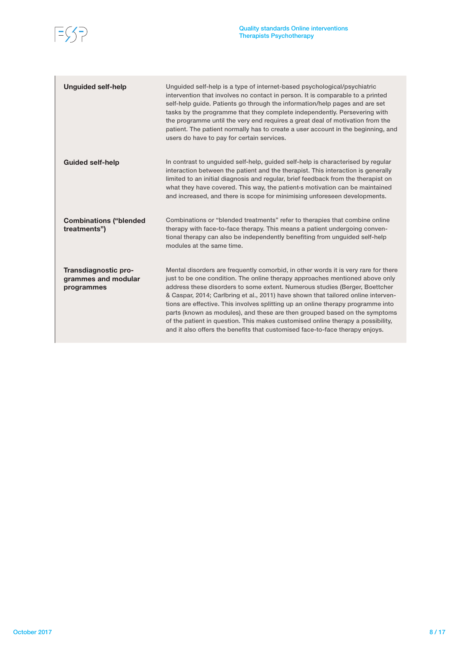

| <b>Unguided self-help</b>                                 | Unguided self-help is a type of internet-based psychological/psychiatric<br>intervention that involves no contact in person. It is comparable to a printed<br>self-help guide. Patients go through the information/help pages and are set<br>tasks by the programme that they complete independently. Persevering with<br>the programme until the very end requires a great deal of motivation from the<br>patient. The patient normally has to create a user account in the beginning, and<br>users do have to pay for certain services.                                                                                                                                   |
|-----------------------------------------------------------|-----------------------------------------------------------------------------------------------------------------------------------------------------------------------------------------------------------------------------------------------------------------------------------------------------------------------------------------------------------------------------------------------------------------------------------------------------------------------------------------------------------------------------------------------------------------------------------------------------------------------------------------------------------------------------|
| <b>Guided self-help</b>                                   | In contrast to unguided self-help, guided self-help is characterised by regular<br>interaction between the patient and the therapist. This interaction is generally<br>limited to an initial diagnosis and regular, brief feedback from the therapist on<br>what they have covered. This way, the patient is motivation can be maintained<br>and increased, and there is scope for minimising unforeseen developments.                                                                                                                                                                                                                                                      |
| <b>Combinations ("blended</b><br>treatments")             | Combinations or "blended treatments" refer to therapies that combine online<br>therapy with face-to-face therapy. This means a patient undergoing conven-<br>tional therapy can also be independently benefiting from unguided self-help<br>modules at the same time.                                                                                                                                                                                                                                                                                                                                                                                                       |
| Transdiagnostic pro-<br>grammes and modular<br>programmes | Mental disorders are frequently comorbid, in other words it is very rare for there<br>just to be one condition. The online therapy approaches mentioned above only<br>address these disorders to some extent. Numerous studies (Berger, Boettcher<br>& Caspar, 2014; Carlbring et al., 2011) have shown that tailored online interven-<br>tions are effective. This involves splitting up an online therapy programme into<br>parts (known as modules), and these are then grouped based on the symptoms<br>of the patient in question. This makes customised online therapy a possibility,<br>and it also offers the benefits that customised face-to-face therapy enjoys. |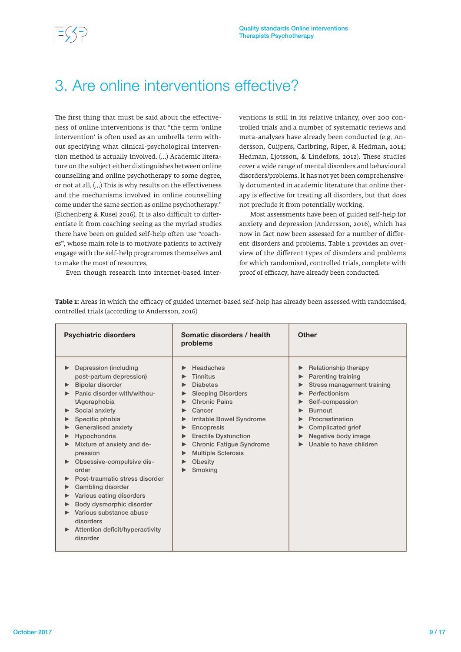### 3. Are online interventions effective?

The first thing that must be said about the effectiveness of online interventions is that "the term 'online intervention' is often used as an umbrella term without specifying what clinical-psychological intervention method is actually involved. (…) Academic literature on the subject either distinguishes between online counselling and online psychotherapy to some degree, or not at all. (…) This is why results on the effectiveness and the mechanisms involved in online counselling come under the same section as online psychotherapy." (Eichenberg & Küsel 2016). It is also difficult to differentiate it from coaching seeing as the myriad studies there have been on guided self-help often use "coaches", whose main role is to motivate patients to actively engage with the self-help programmes themselves and to make the most of resources. Even though research into internet-based interventions is still in its relative infancy, over 200 controlled trials and a number of systematic reviews and meta-analyses have already been conducted (e.g. Andersson, Cuijpers, Carlbring, Riper, & Hedman, 2014; Hedman, Ljotsson, & Lindefors, 2012). These studies cover a wide range of mental disorders and behavioural disorders/problems. It has not yet been comprehensively documented in academic literature that online therapy is effective for treating all disorders, but that does not preclude it from potentially working.

Most assessments have been of guided self-help for anxiety and depression (Andersson, 2016), which has now in fact now been assessed for a number of different disorders and problems. Table 1 provides an overview of the different types of disorders and problems for which randomised, controlled trials, complete with proof of efficacy, have already been conducted.

| <b>Psychiatric disorders</b>                                                                                                                                                                                                                                                                                                                                                                                                                                                          | Somatic disorders / health<br>problems                                                                                                                                                                                                                                             | <b>Other</b>                                                                                                                                                                                                                    |
|---------------------------------------------------------------------------------------------------------------------------------------------------------------------------------------------------------------------------------------------------------------------------------------------------------------------------------------------------------------------------------------------------------------------------------------------------------------------------------------|------------------------------------------------------------------------------------------------------------------------------------------------------------------------------------------------------------------------------------------------------------------------------------|---------------------------------------------------------------------------------------------------------------------------------------------------------------------------------------------------------------------------------|
| Depression (including<br>post-partum depression)<br>Bipolar disorder<br>Panic disorder with/withou-<br>tAgoraphobia<br>Social anxiety<br>Specific phobia<br>Generalised anxiety<br>Hypochondria<br>Mixture of anxiety and de-<br>pression<br>Obsessive-compulsive dis-<br>order<br>Post-traumatic stress disorder<br>Gambling disorder<br>Various eating disorders<br>Body dysmorphic disorder<br>Various substance abuse<br>disorders<br>Attention deficit/hyperactivity<br>disorder | Headaches<br><b>Tinnitus</b><br><b>Diabetes</b><br><b>Sleeping Disorders</b><br><b>Chronic Pains</b><br>Cancer<br>Irritable Bowel Syndrome<br>Encopresis<br><b>Erectile Dysfunction</b><br><b>Chronic Fatigue Syndrome</b><br><b>Multiple Sclerosis</b><br>Obesity<br>Smoking<br>▶ | Relationship therapy<br>Parenting training<br>Stress management training<br>Perfectionism<br>Self-compassion<br><b>Burnout</b><br>Procrastination<br><b>Complicated grief</b><br>Negative body image<br>Unable to have children |

**Table 1:** Areas in which the efficacy of guided internet-based self-help has already been assessed with randomised, controlled trials (according to Andersson, 2016)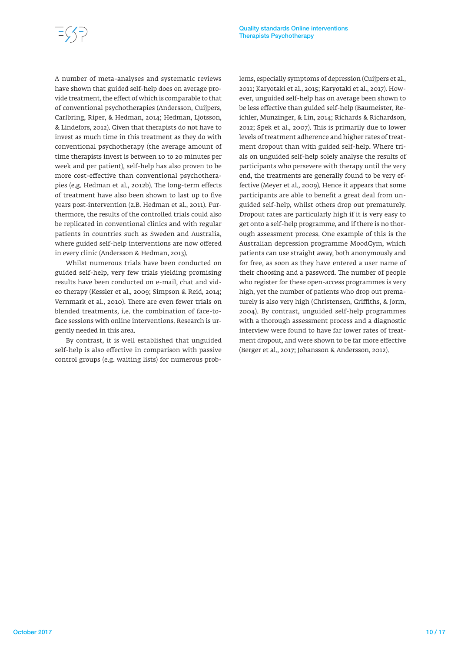A number of meta-analyses and systematic reviews have shown that guided self-help does on average provide treatment, the effect of which is comparable to that of conventional psychotherapies (Andersson, Cuijpers, Carlbring, Riper, & Hedman, 2014; Hedman, Ljotsson, & Lindefors, 2012). Given that therapists do not have to invest as much time in this treatment as they do with conventional psychotherapy (the average amount of time therapists invest is between 10 to 20 minutes per week and per patient), self-help has also proven to be more cost-effective than conventional psychotherapies (e.g. Hedman et al., 2012b). The long-term effects of treatment have also been shown to last up to five years post-intervention (z.B. Hedman et al., 2011). Furthermore, the results of the controlled trials could also be replicated in conventional clinics and with regular patients in countries such as Sweden and Australia, where guided self-help interventions are now offered in every clinic (Andersson & Hedman, 2013).

Whilst numerous trials have been conducted on guided self-help, very few trials yielding promising results have been conducted on e-mail, chat and video therapy (Kessler et al., 2009; Simpson & Reid, 2014; Vernmark et al., 2010). There are even fewer trials on blended treatments, i.e. the combination of face-toface sessions with online interventions. Research is urgently needed in this area.

By contrast, it is well established that unguided self-help is also effective in comparison with passive control groups (e.g. waiting lists) for numerous problems, especially symptoms of depression (Cuijpers et al., 2011; Karyotaki et al., 2015; Karyotaki et al., 2017). However, unguided self-help has on average been shown to be less effective than guided self-help (Baumeister, Reichler, Munzinger, & Lin, 2014; Richards & Richardson, 2012; Spek et al., 2007). This is primarily due to lower levels of treatment adherence and higher rates of treatment dropout than with guided self-help. Where trials on unguided self-help solely analyse the results of participants who persevere with therapy until the very end, the treatments are generally found to be very effective (Meyer et al., 2009). Hence it appears that some participants are able to benefit a great deal from unguided self-help, whilst others drop out prematurely. Dropout rates are particularly high if it is very easy to get onto a self-help programme, and if there is no thorough assessment process. One example of this is the Australian depression programme MoodGym, which patients can use straight away, both anonymously and for free, as soon as they have entered a user name of their choosing and a password. The number of people who register for these open-access programmes is very high, yet the number of patients who drop out prematurely is also very high (Christensen, Griffiths, & Jorm, 2004). By contrast, unguided self-help programmes with a thorough assessment process and a diagnostic interview were found to have far lower rates of treatment dropout, and were shown to be far more effective (Berger et al., 2017; Johansson & Andersson, 2012).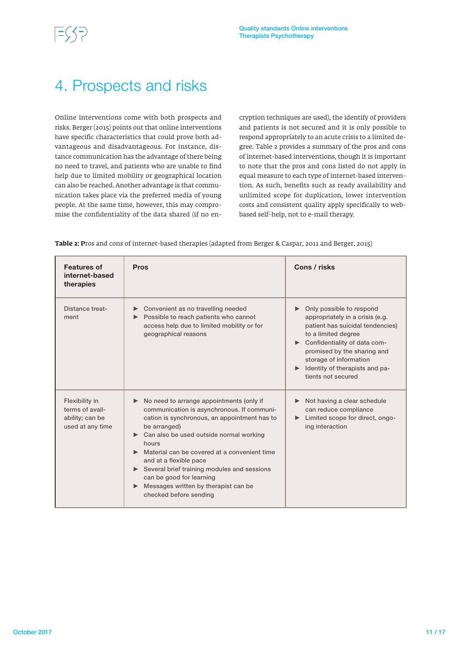### 4. Prospects and risks

Online interventions come with both prospects and risks. Berger (2015) points out that online interventions have specific characteristics that could prove both advantageous and disadvantageous. For instance, distance communication has the advantage of there being no need to travel, and patients who are unable to find help due to limited mobility or geographical location can also be reached. Another advantage is that communication takes place via the preferred media of young people. At the same time, however, this may compromise the confidentiality of the data shared (if no encryption techniques are used), the identify of providers and patients is not secured and it is only possible to respond appropriately to an acute crisis to a limited degree. Table 2 provides a summary of the pros and cons of internet-based interventions, though it is important to note that the pros and cons listed do not apply in equal measure to each type of internet-based intervention. As such, benefits such as ready availability and unlimited scope for duplication, lower intervention costs and consistent quality apply specifically to webbased self-help, not to e-mail therapy.

**Table 2: P**ros and cons of internet-based therapies (adapted from Berger & Caspar, 2011 and Berger, 2015)

| <b>Features of</b><br>internet-based<br>therapies                        | <b>Pros</b>                                                                                                                                                                                                                                                                                                                                                                                                                                                                     | Cons / risks                                                                                                                                                                                                                                                                                  |
|--------------------------------------------------------------------------|---------------------------------------------------------------------------------------------------------------------------------------------------------------------------------------------------------------------------------------------------------------------------------------------------------------------------------------------------------------------------------------------------------------------------------------------------------------------------------|-----------------------------------------------------------------------------------------------------------------------------------------------------------------------------------------------------------------------------------------------------------------------------------------------|
| Distance treat-<br>ment                                                  | ► Convenient as no travelling needed<br>▶ Possible to reach patients who cannot<br>access help due to limited mobility or for<br>geographical reasons                                                                                                                                                                                                                                                                                                                           | Only possible to respond<br>appropriately in a crisis (e.g.<br>patient has suicidal tendencies)<br>to a limited degree<br>Confidentiality of data com-<br>promised by the sharing and<br>storage of information<br>$\blacktriangleright$ Identity of therapists and pa-<br>tients not secured |
| Flexibility in<br>terms of avail-<br>ability; can be<br>used at any time | No need to arrange appointments (only if<br>communication is asynchronous. If communi-<br>cation is synchronous, an appointment has to<br>be arranged)<br>► Can also be used outside normal working<br>hours<br>$\blacktriangleright$ Material can be covered at a convenient time<br>and at a flexible pace<br>Several brief training modules and sessions<br>can be good for learning<br>$\blacktriangleright$ Messages written by therapist can be<br>checked before sending | Not having a clear schedule<br>can reduce compliance<br>Eimited scope for direct, ongo-<br>ing interaction                                                                                                                                                                                    |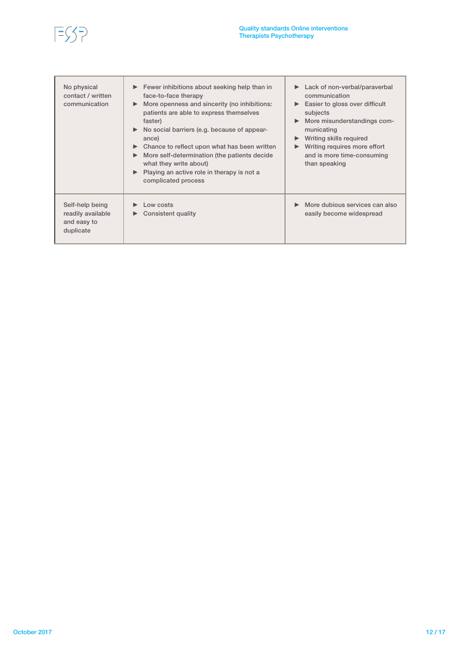

| No physical<br>contact / written<br>communication                | $\blacktriangleright$ Fewer inhibitions about seeking help than in<br>face-to-face therapy<br>More openness and sincerity (no inhibitions:<br>patients are able to express themselves<br>faster)<br>$\triangleright$ No social barriers (e.g. because of appear-<br>ance)<br>Chance to reflect upon what has been written<br>More self-determination (the patients decide<br>what they write about)<br>Playing an active role in therapy is not a<br>complicated process | Lack of non-verbal/paraverbal<br>$\blacktriangleright$<br>communication<br>Easier to gloss over difficult<br>$\blacktriangleright$<br>subjects<br>More misunderstandings com-<br>municating<br>Writing skills required<br>Writing requires more effort<br>$\blacktriangleright$<br>and is more time-consuming<br>than speaking |
|------------------------------------------------------------------|--------------------------------------------------------------------------------------------------------------------------------------------------------------------------------------------------------------------------------------------------------------------------------------------------------------------------------------------------------------------------------------------------------------------------------------------------------------------------|--------------------------------------------------------------------------------------------------------------------------------------------------------------------------------------------------------------------------------------------------------------------------------------------------------------------------------|
| Self-help being<br>readily available<br>and easy to<br>duplicate | Low costs<br>Consistent quality                                                                                                                                                                                                                                                                                                                                                                                                                                          | More dubious services can also<br>easily become widespread                                                                                                                                                                                                                                                                     |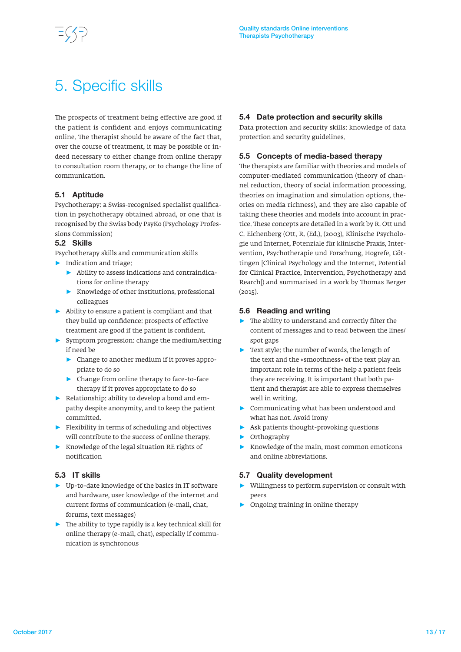### 5. Specific skills

The prospects of treatment being effective are good if the patient is confident and enjoys communicating online. The therapist should be aware of the fact that, over the course of treatment, it may be possible or indeed necessary to either change from online therapy to consultation room therapy, or to change the line of communication.

### 5.1 Aptitude

Psychotherapy: a Swiss-recognised specialist qualification in psychotherapy obtained abroad, or one that is recognised by the Swiss body PsyKo (Psychology Professions Commission)

### 5.2 Skills

Psychotherapy skills and communication skills

- ► Indication and triage:
	- ► Ability to assess indications and contraindications for online therapy
	- ► Knowledge of other institutions, professional colleagues
- $\blacktriangleright$  Ability to ensure a patient is compliant and that they build up confidence: prospects of effective treatment are good if the patient is confident.
- ► Symptom progression: change the medium/setting if need be
	- ► Change to another medium if it proves appropriate to do so
	- ► Change from online therapy to face-to-face therapy if it proves appropriate to do so
- ► Relationship: ability to develop a bond and empathy despite anonymity, and to keep the patient committed.
- ► Flexibility in terms of scheduling and objectives will contribute to the success of online therapy.
- ► Knowledge of the legal situation RE rights of notification

### 5.3 IT skills

- ► Up-to-date knowledge of the basics in IT software and hardware, user knowledge of the internet and current forms of communication (e-mail, chat, forums, text messages)
- ► The ability to type rapidly is a key technical skill for online therapy (e-mail, chat), especially if communication is synchronous

### 5.4 Date protection and security skills

Data protection and security skills: knowledge of data protection and security guidelines.

### 5.5 Concepts of media-based therapy

The therapists are familiar with theories and models of computer-mediated communication (theory of channel reduction, theory of social information processing, theories on imagination and simulation options, theories on media richness), and they are also capable of taking these theories and models into account in practice. These concepts are detailed in a work by R. Ott und C. Eichenberg (Ott, R. (Ed.), (2003), Klinische Psychologie und Internet, Potenziale für klinische Praxis, Intervention, Psychotherapie und Forschung, Hogrefe, Göttingen [Clinical Psychology and the Internet, Potential for Clinical Practice, Intervention, Psychotherapy and Rearch]) and summarised in a work by Thomas Berger (2015).

### 5.6 Reading and writing

- ► The ability to understand and correctly filter the content of messages and to read between the lines/ spot gaps
- ► Text style: the number of words, the length of the text and the «smoothness» of the text play an important role in terms of the help a patient feels they are receiving. It is important that both patient and therapist are able to express themselves well in writing.
- ► Communicating what has been understood and what has not. Avoid irony
- ► Ask patients thought-provoking questions
- ► Orthography
- ► Knowledge of the main, most common emoticons and online abbreviations.

### 5.7 Quality development

- Willingness to perform supervision or consult with peers
- ► Ongoing training in online therapy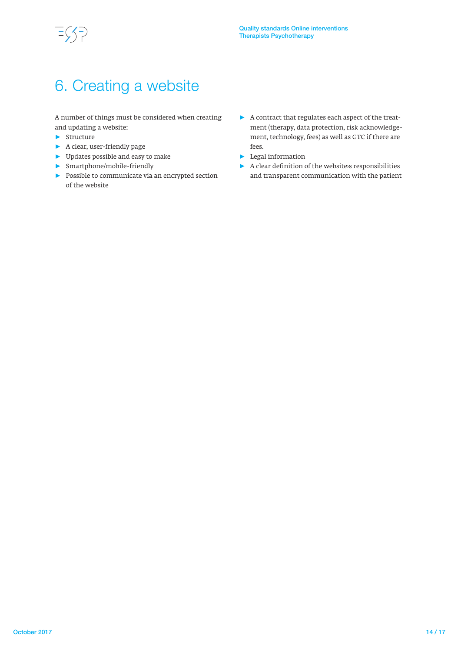### 6. Creating a website

A number of things must be considered when creating and updating a website:

- ► Structure
- ► A clear, user-friendly page
- ► Updates possible and easy to make
- ► Smartphone/mobile-friendly
- ► Possible to communicate via an encrypted section of the website
- ► A contract that regulates each aspect of the treatment (therapy, data protection, risk acknowledgement, technology, fees) as well as GTC if there are fees.
- ► Legal information
- ► A clear definition of the website›s responsibilities and transparent communication with the patient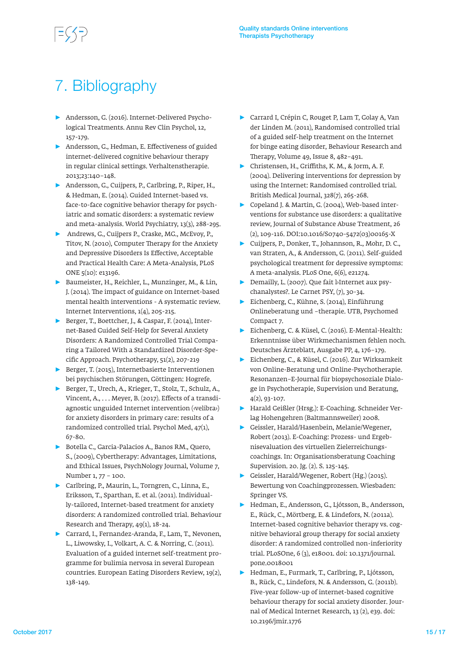## 7. Bibliography

- ► Andersson, G. (2016). Internet-Delivered Psychological Treatments. Annu Rev Clin Psychol, 12, 157-179.
- ► Andersson, G., Hedman, E. Effectiveness of guided internet-delivered cognitive behaviour therapy in regular clinical settings. Verhaltenstherapie. 2013;23:140–148.
- ► Andersson, G., Cuijpers, P., Carlbring, P., Riper, H., & Hedman, E. (2014). Guided Internet-based vs. face-to-face cognitive behavior therapy for psychiatric and somatic disorders: a systematic review and meta-analysis. World Psychiatry, 13(3), 288-295.
- ► Andrews, G., Cuijpers P., Craske, MG., McEvoy, P., Titov, N. (2010), Computer Therapy for the Anxiety and Depressive Disorders Is Effective, Acceptable and Practical Health Care: A Meta-Analysis, PLoS ONE 5(10): e13196.
- ► Baumeister, H., Reichler, L., Munzinger, M., & Lin, J. (2014). The impact of guidance on Internet-based mental health interventions - A systematic review. Internet Interventions, 1(4), 205-215.
- ► Berger, T., Boettcher, J., & Caspar, F. (2014), Internet-Based Guided Self-Help for Several Anxiety Disorders: A Randomized Controlled Trial Comparing a Tailored With a Standardized Disorder-Specific Approach. Psychotherapy, 51(2), 207-219
- ► Berger, T. (2015), Internetbasierte Interventionen bei psychischen Störungen, Göttingen: Hogrefe.
- ► Berger, T., Urech, A., Krieger, T., Stolz, T., Schulz, A., Vincent, A., . . . Meyer, B. (2017). Effects of a transdiagnostic unguided Internet intervention (‹velibra›) for anxiety disorders in primary care: results of a randomized controlled trial. Psychol Med, 47(1), 67-80.
- ► Botella C., Garcia-Palacios A., Banos RM., Quero, S., (2009), Cybertherapy: Advantages, Limitations, and Ethical Issues, PsychNology Journal, Volume 7, Number 1, 77 – 100.
- ► Carlbring, P., Maurin, L., Torngren, C., Linna, E., Eriksson, T., Sparthan, E. et al. (2011). Individually-tailored, Internet-based treatment for anxiety disorders: A randomized controlled trial. Behaviour Research and Therapy, 49(1), 18-24.
- ► Carrard, I., Fernandez-Aranda, F., Lam, T., Nevonen, L., Liwowsky, I., Volkart, A. C. & Norring, C. (2011). Evaluation of a guided internet self-treatment programme for bulimia nervosa in several European countries. European Eating Disorders Review, 19(2), 138-149.
- ► Carrard I, Crépin C, Rouget P, Lam T, Golay A, Van der Linden M. (2011), Randomised controlled trial of a guided self-help treatment on the Internet for binge eating disorder, Behaviour Research and Therapy, Volume 49, Issue 8, 482–491.
- ► Christensen, H., Griffiths, K. M., & Jorm, A. F. (2004). Delivering interventions for depression by using the Internet: Randomised controlled trial. British Medical Journal, 328(7), 265-268.
- ► Copeland J. & Martin, G. (2004), Web-based interventions for substance use disorders: a qualitative review, Journal of Substance Abuse Treatment, 26 (2), 109-116. DOI:10.1016/S0740-5472(03)00165-X
- ► Cuijpers, P., Donker, T., Johannson, R., Mohr, D. C., van Straten, A., & Andersson, G. (2011). Self-guided psychological treatment for depressive symptoms: A meta-analysis. PLoS One, 6(6), e21274.
- ► Demailly, L. (2007). Que fait l›Internet aux psychanalystes?. Le Carnet PSY, (7), 30-34.
- ► Eichenberg, C., Kühne, S. (2014), Einführung Onlineberatung und –therapie. UTB, Psychomed Compact 7.
- ► Eichenberg, C. & Küsel, C. (2016). E-Mental-Health: Erkenntnisse über Wirkmechanismen fehlen noch. Deutsches Ärzteblatt, Ausgabe PP, 4, 176–179.
- ► Eichenberg, C., & Küsel, C. (2016). Zur Wirksamkeit von Online-Beratung und Online-Psychotherapie. Resonanzen–E-Journal für biopsychosoziale Dialoge in Psychotherapie, Supervision und Beratung, 4(2), 93-107.
- ► Harald Geißler (Hrsg.): E-Coaching. Schneider Verlag Hohengehren (Baltmannsweiler) 2008.
- ► Geissler, Harald/Hasenbein, Melanie/Wegener, Robert (2013). E-Coaching: Prozess- und Ergebnisevaluation des virtuellen Zielerreichungscoachings. In: Organisationsberatung Coaching Supervision. 20. Jg. (2). S. 125-145.
- ► Geissler, Harald/Wegener, Robert (Hg.) (2015). Bewertung von Coachingprozessen. Wiesbaden: Springer VS.
- ► Hedman, E., Andersson, G., Ljótsson, B., Andersson, E., Rück, C., Mörtberg, E. & Lindefors, N. (2011a). Internet-based cognitive behavior therapy vs. cognitive behavioral group therapy for social anxiety disorder: A randomized controlled non-inferiority trial. PLoSOne, 6 (3), e18001. doi: 10.1371/journal. pone.0018001
- ► Hedman, E., Furmark, T., Carlbring, P., Ljótsson, B., Rück, C., Lindefors, N. & Andersson, G. (2011b). Five-year follow-up of internet-based cognitive behaviour therapy for social anxiety disorder. Journal of Medical Internet Research, 13 (2), e39. doi: 10.2196/jmir.1776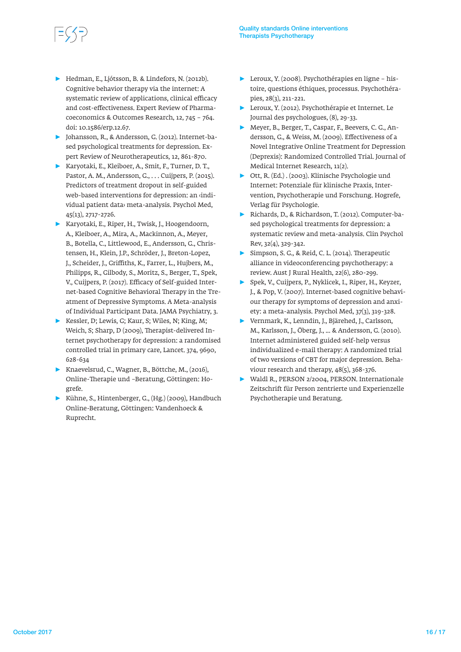- ► Hedman, E., Ljótsson, B. & Lindefors, N. (2012b). Cognitive behavior therapy via the internet: A systematic review of applications, clinical efficacy and cost-effectiveness. Expert Review of Pharmacoeconomics & Outcomes Research, 12, 745 – 764. doi: 10.1586/erp.12.67.
- ► Johansson, R., & Andersson, G. (2012). Internet-based psychological treatments for depression. Expert Review of Neurotherapeutics, 12, 861-870.
- ► Karyotaki, E., Kleiboer, A., Smit, F., Turner, D. T., Pastor, A. M., Andersson, G., . . . Cuijpers, P. (2015). Predictors of treatment dropout in self-guided web-based interventions for depression: an ‹individual patient data› meta-analysis. Psychol Med, 45(13), 2717-2726.
- ► Karyotaki, E., Riper, H., Twisk, J., Hoogendoorn, A., Kleiboer, A., Mira, A., Mackinnon, A., Meyer, B., Botella, C., Littlewood, E., Andersson, G., Christensen, H., Klein, J.P., Schröder, J., Breton-Lopez, J., Scheider, J., Griffiths, K., Farrer, L., Hujbers, M., Philipps, R., Gilbody, S., Moritz, S., Berger, T., Spek, V., Cuijpers, P. (2017). Efficacy of Self-guided Internet-based Cognitive Behavioral Therapy in the Treatment of Depressive Symptoms. A Meta-analysis of Individual Participant Data. JAMA Psychiatry, 3.
- ► Kessler, D; Lewis, G; Kaur, S; Wiles, N; King, M; Weich, S; Sharp, D (2009), Therapist-delivered Internet psychotherapy for depression: a randomised controlled trial in primary care, Lancet. 374, 9690, 628-634
- ► Knaevelsrud, C., Wagner, B., Böttche, M., (2016), Online-Therapie und –Beratung, Göttingen: Hogrefe.
- ► Kühne, S., Hintenberger, G., (Hg.) (2009), Handbuch Online-Beratung, Göttingen: Vandenhoeck & Ruprecht.
- ► Leroux, Y. (2008). Psychothérapies en ligne histoire, questions éthiques, processus. Psychothérapies, 28(3), 211-221.
- ► Leroux, Y. (2012). Psychothérapie et Internet. Le Journal des psychologues, (8), 29-33.
- ► Meyer, B., Berger, T., Caspar, F., Beevers, C. G., Andersson, G., & Weiss, M. (2009). Effectiveness of a Novel Integrative Online Treatment for Depression (Deprexis): Randomized Controlled Trial. Journal of Medical Internet Research, 11(2).
- ► Ott, R. (Ed.) . (2003). Klinische Psychologie und Internet: Potenziale für klinische Praxis, Intervention, Psychotherapie und Forschung. Hogrefe, Verlag für Psychologie.
- ► Richards, D., & Richardson, T. (2012). Computer-based psychological treatments for depression: a systematic review and meta-analysis. Clin Psychol Rev, 32(4), 329-342.
- ► Simpson, S. G., & Reid, C. L. (2014). Therapeutic alliance in videoconferencing psychotherapy: a review. Aust J Rural Health, 22(6), 280-299.
- ► Spek, V., Cuijpers, P., Nyklicek, I., Riper, H., Keyzer, J., & Pop, V. (2007). Internet-based cognitive behaviour therapy for symptoms of depression and anxiety: a meta-analysis. Psychol Med, 37(3), 319-328.
- ► Vernmark, K., Lenndin, J., Bjärehed, J., Carlsson, M., Karlsson, J., Öberg, J., ... & Andersson, G. (2010). Internet administered guided self-help versus individualized e-mail therapy: A randomized trial of two versions of CBT for major depression. Behaviour research and therapy, 48(5), 368-376.
- ► Waldl R., PERSON 2/2004, PERSON. Internationale Zeitschrift für Person zentrierte und Experienzelle Psychotherapie und Beratung.